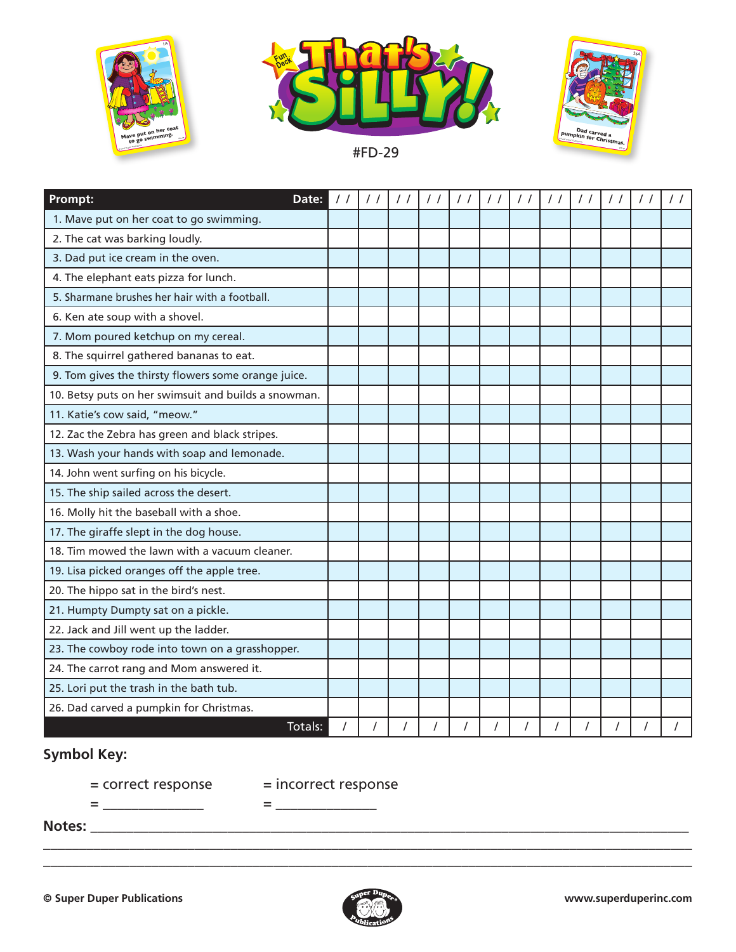





#FD-29

| Prompt:<br>Date:                                     |  |          | $\frac{1}{2}$ | $\frac{1}{2}$ | $\frac{1}{2}$ | $\frac{1}{2}$  | $\frac{1}{2}$ | $\frac{1}{2}$ | $\frac{1}{2}$ | $\frac{1}{2}$  | $\prime$ / |
|------------------------------------------------------|--|----------|---------------|---------------|---------------|----------------|---------------|---------------|---------------|----------------|------------|
| 1. Mave put on her coat to go swimming.              |  |          |               |               |               |                |               |               |               |                |            |
| 2. The cat was barking loudly.                       |  |          |               |               |               |                |               |               |               |                |            |
| 3. Dad put ice cream in the oven.                    |  |          |               |               |               |                |               |               |               |                |            |
| 4. The elephant eats pizza for lunch.                |  |          |               |               |               |                |               |               |               |                |            |
| 5. Sharmane brushes her hair with a football.        |  |          |               |               |               |                |               |               |               |                |            |
| 6. Ken ate soup with a shovel.                       |  |          |               |               |               |                |               |               |               |                |            |
| 7. Mom poured ketchup on my cereal.                  |  |          |               |               |               |                |               |               |               |                |            |
| 8. The squirrel gathered bananas to eat.             |  |          |               |               |               |                |               |               |               |                |            |
| 9. Tom gives the thirsty flowers some orange juice.  |  |          |               |               |               |                |               |               |               |                |            |
| 10. Betsy puts on her swimsuit and builds a snowman. |  |          |               |               |               |                |               |               |               |                |            |
| 11. Katie's cow said, "meow."                        |  |          |               |               |               |                |               |               |               |                |            |
| 12. Zac the Zebra has green and black stripes.       |  |          |               |               |               |                |               |               |               |                |            |
| 13. Wash your hands with soap and lemonade.          |  |          |               |               |               |                |               |               |               |                |            |
| 14. John went surfing on his bicycle.                |  |          |               |               |               |                |               |               |               |                |            |
| 15. The ship sailed across the desert.               |  |          |               |               |               |                |               |               |               |                |            |
| 16. Molly hit the baseball with a shoe.              |  |          |               |               |               |                |               |               |               |                |            |
| 17. The giraffe slept in the dog house.              |  |          |               |               |               |                |               |               |               |                |            |
| 18. Tim mowed the lawn with a vacuum cleaner.        |  |          |               |               |               |                |               |               |               |                |            |
| 19. Lisa picked oranges off the apple tree.          |  |          |               |               |               |                |               |               |               |                |            |
| 20. The hippo sat in the bird's nest.                |  |          |               |               |               |                |               |               |               |                |            |
| 21. Humpty Dumpty sat on a pickle.                   |  |          |               |               |               |                |               |               |               |                |            |
| 22. Jack and Jill went up the ladder.                |  |          |               |               |               |                |               |               |               |                |            |
| 23. The cowboy rode into town on a grasshopper.      |  |          |               |               |               |                |               |               |               |                |            |
| 24. The carrot rang and Mom answered it.             |  |          |               |               |               |                |               |               |               |                |            |
| 25. Lori put the trash in the bath tub.              |  |          |               |               |               |                |               |               |               |                |            |
| 26. Dad carved a pumpkin for Christmas.              |  |          |               |               |               |                |               |               |               |                |            |
| Totals:                                              |  | $\prime$ |               |               |               | $\overline{I}$ |               |               |               | $\overline{I}$ |            |

## **Symbol Key:**

= correct response = incorrect response

= \_\_\_\_\_\_\_\_\_\_\_\_\_\_ = \_\_\_\_\_\_\_\_\_\_\_\_\_\_

\_\_\_\_\_\_\_\_\_\_\_\_\_\_\_\_\_\_\_\_\_\_\_\_\_\_\_\_\_\_\_\_\_\_\_\_\_\_\_\_\_\_\_\_\_\_\_\_\_\_\_\_\_\_\_\_\_\_\_\_\_\_\_\_\_\_\_\_\_\_\_\_\_\_\_\_\_\_\_\_\_\_\_\_\_\_\_\_\_\_

**Notes:** \_\_\_\_\_\_\_\_\_\_\_\_\_\_\_\_\_\_\_\_\_\_\_\_\_\_\_\_\_\_\_\_\_\_\_\_\_\_\_\_\_\_\_\_\_\_\_\_\_\_\_\_\_\_\_\_\_\_\_\_\_\_\_\_\_\_\_\_\_\_\_\_\_\_\_\_\_\_\_\_\_\_\_



\_\_\_\_\_\_\_\_\_\_\_\_\_\_\_\_\_\_\_\_\_\_\_\_\_\_\_\_\_\_\_\_\_\_\_\_\_\_\_\_\_\_\_\_\_\_\_\_\_\_\_\_\_\_\_\_\_\_\_\_\_\_\_\_\_\_\_\_\_\_\_\_\_\_\_\_\_\_\_\_\_\_\_\_\_\_\_\_\_\_